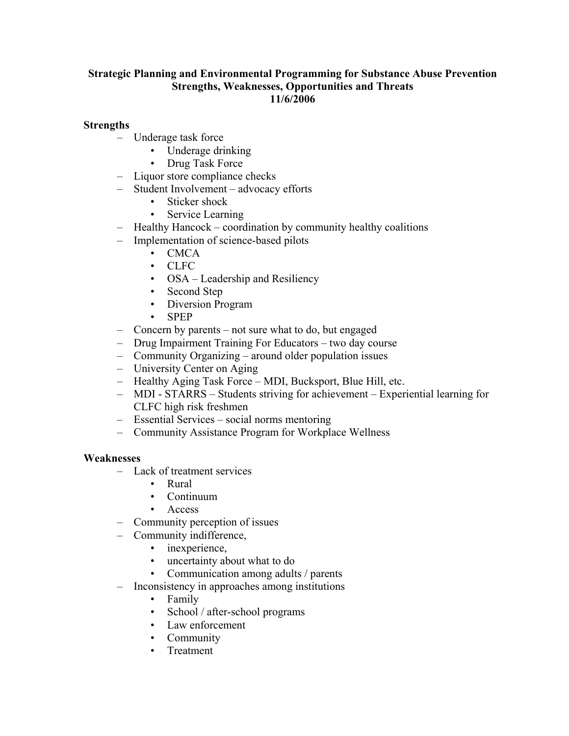# Strategic Planning and Environmental Programming for Substance Abuse Prevention Strengths, Weaknesses, Opportunities and Threats 11/6/2006

# **Strengths**

- Underage task force
	- Underage drinking
	- Drug Task Force
- Liquor store compliance checks
- Student Involvement advocacy efforts
	- Sticker shock
	- Service Learning
- Healthy Hancock coordination by community healthy coalitions
- Implementation of science-based pilots
	- CMCA
	- CLFC
	- OSA Leadership and Resiliency
	- Second Step
	- Diversion Program
	- SPEP
- Concern by parents not sure what to do, but engaged
- Drug Impairment Training For Educators two day course
- Community Organizing around older population issues
- University Center on Aging
- Healthy Aging Task Force MDI, Bucksport, Blue Hill, etc.
- MDI STARRS Students striving for achievement Experiential learning for CLFC high risk freshmen
- Essential Services social norms mentoring
- Community Assistance Program for Workplace Wellness

### **Weaknesses**

- Lack of treatment services
	- Rural
	- Continuum
	- Access
- Community perception of issues
- Community indifference,
	- inexperience,
	- uncertainty about what to do
	- Communication among adults / parents
- Inconsistency in approaches among institutions
	- Family
	- School / after-school programs
	- Law enforcement
	- Community
	- **Treatment**